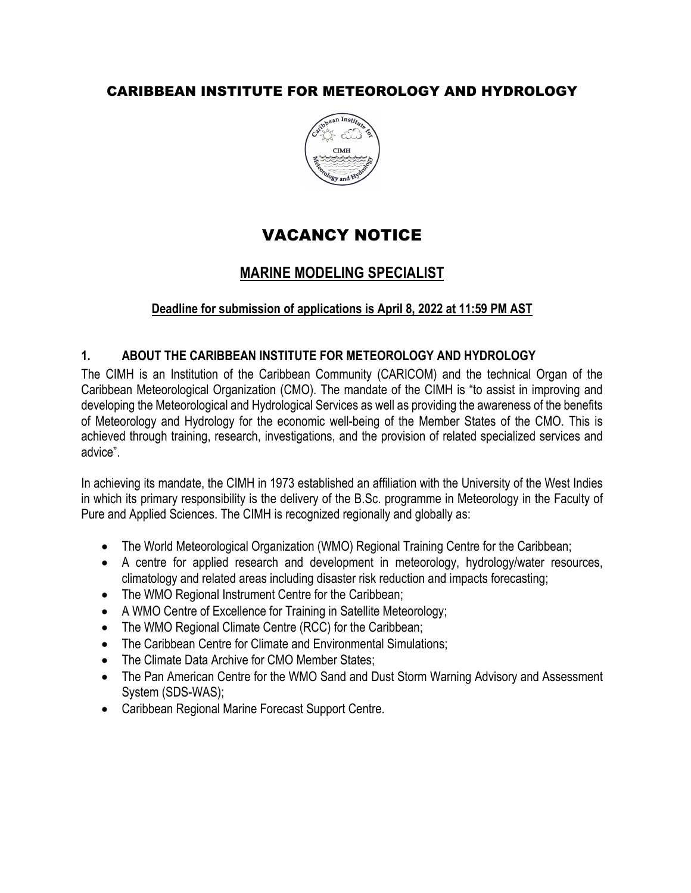# CARIBBEAN INSTITUTE FOR METEOROLOGY AND HYDROLOGY



# VACANCY NOTICE

# **MARINE MODELING SPECIALIST**

#### **Deadline for submission of applications is April 8, 2022 at 11:59 PM AST**

#### **1. ABOUT THE CARIBBEAN INSTITUTE FOR METEOROLOGY AND HYDROLOGY**

The CIMH is an Institution of the Caribbean Community (CARICOM) and the technical Organ of the Caribbean Meteorological Organization (CMO). The mandate of the CIMH is "to assist in improving and developing the Meteorological and Hydrological Services as well as providing the awareness of the benefits of Meteorology and Hydrology for the economic well-being of the Member States of the CMO. This is achieved through training, research, investigations, and the provision of related specialized services and advice".

In achieving its mandate, the CIMH in 1973 established an affiliation with the University of the West Indies in which its primary responsibility is the delivery of the B.Sc. programme in Meteorology in the Faculty of Pure and Applied Sciences. The CIMH is recognized regionally and globally as:

- The World Meteorological Organization (WMO) Regional Training Centre for the Caribbean;
- A centre for applied research and development in meteorology, hydrology/water resources, climatology and related areas including disaster risk reduction and impacts forecasting;
- The WMO Regional Instrument Centre for the Caribbean;
- A WMO Centre of Excellence for Training in Satellite Meteorology;
- The WMO Regional Climate Centre (RCC) for the Caribbean;
- The Caribbean Centre for Climate and Environmental Simulations;
- The Climate Data Archive for CMO Member States:
- The Pan American Centre for the WMO Sand and Dust Storm Warning Advisory and Assessment System (SDS-WAS);
- Caribbean Regional Marine Forecast Support Centre.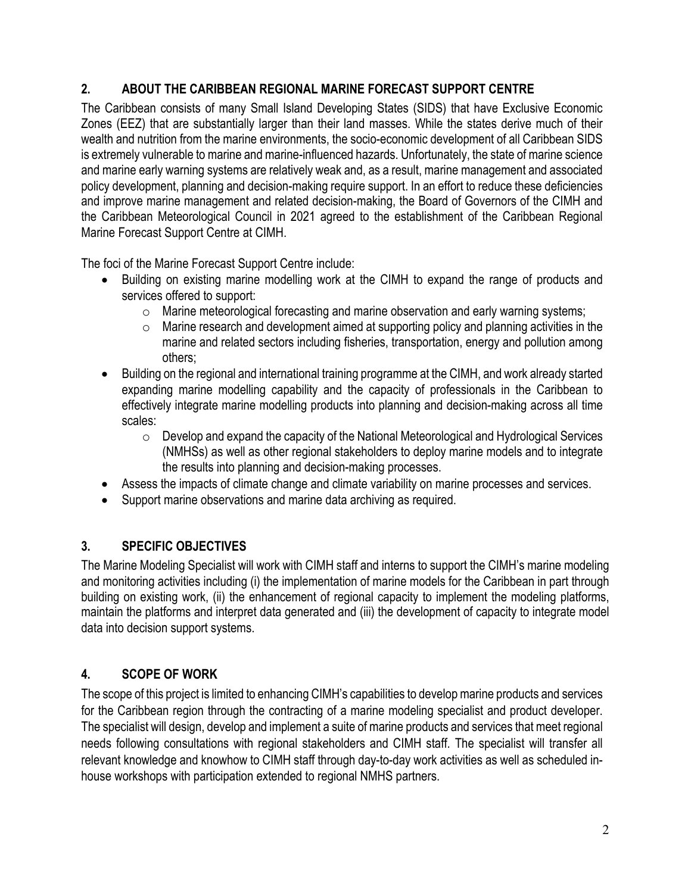### **2. ABOUT THE CARIBBEAN REGIONAL MARINE FORECAST SUPPORT CENTRE**

The Caribbean consists of many Small Island Developing States (SIDS) that have Exclusive Economic Zones (EEZ) that are substantially larger than their land masses. While the states derive much of their wealth and nutrition from the marine environments, the socio-economic development of all Caribbean SIDS is extremely vulnerable to marine and marine-influenced hazards. Unfortunately, the state of marine science and marine early warning systems are relatively weak and, as a result, marine management and associated policy development, planning and decision-making require support. In an effort to reduce these deficiencies and improve marine management and related decision-making, the Board of Governors of the CIMH and the Caribbean Meteorological Council in 2021 agreed to the establishment of the Caribbean Regional Marine Forecast Support Centre at CIMH.

The foci of the Marine Forecast Support Centre include:

- Building on existing marine modelling work at the CIMH to expand the range of products and services offered to support:
	- o Marine meteorological forecasting and marine observation and early warning systems;
	- $\circ$  Marine research and development aimed at supporting policy and planning activities in the marine and related sectors including fisheries, transportation, energy and pollution among others;
- Building on the regional and international training programme at the CIMH, and work already started expanding marine modelling capability and the capacity of professionals in the Caribbean to effectively integrate marine modelling products into planning and decision-making across all time scales:
	- $\circ$  Develop and expand the capacity of the National Meteorological and Hydrological Services (NMHSs) as well as other regional stakeholders to deploy marine models and to integrate the results into planning and decision-making processes.
- Assess the impacts of climate change and climate variability on marine processes and services.
- Support marine observations and marine data archiving as required.

### **3. SPECIFIC OBJECTIVES**

The Marine Modeling Specialist will work with CIMH staff and interns to support the CIMH's marine modeling and monitoring activities including (i) the implementation of marine models for the Caribbean in part through building on existing work, (ii) the enhancement of regional capacity to implement the modeling platforms, maintain the platforms and interpret data generated and (iii) the development of capacity to integrate model data into decision support systems.

### **4. SCOPE OF WORK**

The scope of this project is limited to enhancing CIMH's capabilities to develop marine products and services for the Caribbean region through the contracting of a marine modeling specialist and product developer. The specialist will design, develop and implement a suite of marine products and services that meet regional needs following consultations with regional stakeholders and CIMH staff. The specialist will transfer all relevant knowledge and knowhow to CIMH staff through day-to-day work activities as well as scheduled inhouse workshops with participation extended to regional NMHS partners.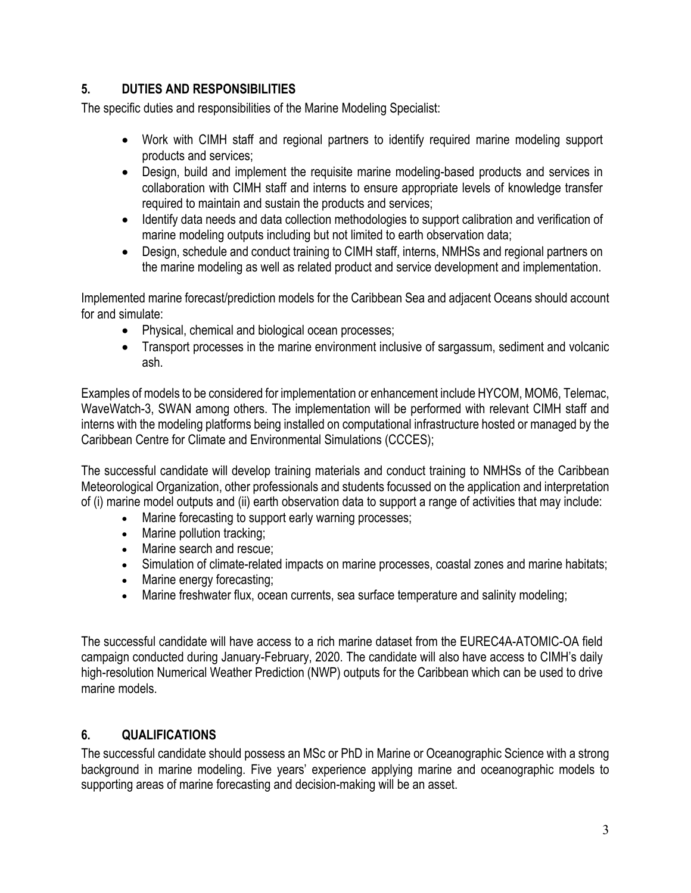# **5. DUTIES AND RESPONSIBILITIES**

The specific duties and responsibilities of the Marine Modeling Specialist:

- Work with CIMH staff and regional partners to identify required marine modeling support products and services;
- Design, build and implement the requisite marine modeling-based products and services in collaboration with CIMH staff and interns to ensure appropriate levels of knowledge transfer required to maintain and sustain the products and services;
- Identify data needs and data collection methodologies to support calibration and verification of marine modeling outputs including but not limited to earth observation data;
- Design, schedule and conduct training to CIMH staff, interns, NMHSs and regional partners on the marine modeling as well as related product and service development and implementation.

Implemented marine forecast/prediction models for the Caribbean Sea and adjacent Oceans should account for and simulate:

- Physical, chemical and biological ocean processes;
- Transport processes in the marine environment inclusive of sargassum, sediment and volcanic ash.

Examples of models to be considered for implementation or enhancement include HYCOM, MOM6, Telemac, WaveWatch-3, SWAN among others. The implementation will be performed with relevant CIMH staff and interns with the modeling platforms being installed on computational infrastructure hosted or managed by the Caribbean Centre for Climate and Environmental Simulations (CCCES);

The successful candidate will develop training materials and conduct training to NMHSs of the Caribbean Meteorological Organization, other professionals and students focussed on the application and interpretation of (i) marine model outputs and (ii) earth observation data to support a range of activities that may include:

- Marine forecasting to support early warning processes;
- Marine pollution tracking;
- Marine search and rescue;
- Simulation of climate-related impacts on marine processes, coastal zones and marine habitats;
- Marine energy forecasting;
- Marine freshwater flux, ocean currents, sea surface temperature and salinity modeling;

The successful candidate will have access to a rich marine dataset from the EUREC4A-ATOMIC-OA field campaign conducted during January-February, 2020. The candidate will also have access to CIMH's daily high-resolution Numerical Weather Prediction (NWP) outputs for the Caribbean which can be used to drive marine models.

### **6. QUALIFICATIONS**

The successful candidate should possess an MSc or PhD in Marine or Oceanographic Science with a strong background in marine modeling. Five years' experience applying marine and oceanographic models to supporting areas of marine forecasting and decision-making will be an asset.